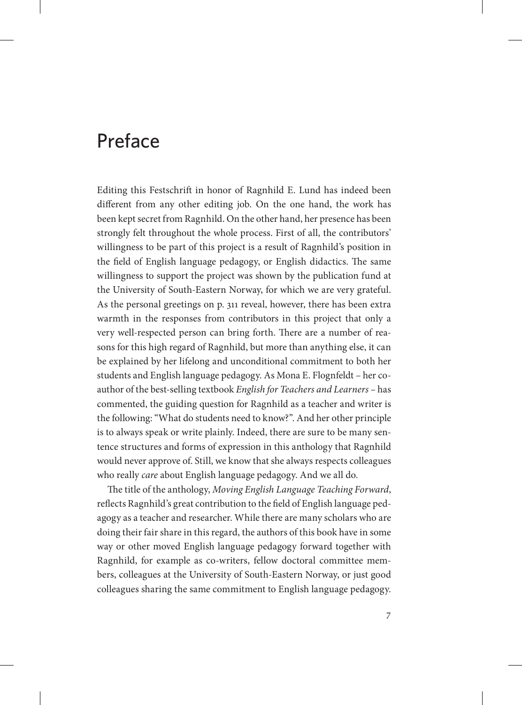## Preface

Editing this Festschrift in honor of Ragnhild E. Lund has indeed been different from any other editing job. On the one hand, the work has been kept secret from Ragnhild. On the other hand, her presence has been strongly felt throughout the whole process. First of all, the contributors' willingness to be part of this project is a result of Ragnhild's position in the field of English language pedagogy, or English didactics. The same willingness to support the project was shown by the publication fund at the University of South-Eastern Norway, for which we are very grateful. As the personal greetings on p. 311 reveal, however, there has been extra warmth in the responses from contributors in this project that only a very well-respected person can bring forth. There are a number of reasons for this high regard of Ragnhild, but more than anything else, it can be explained by her lifelong and unconditional commitment to both her students and English language pedagogy. As Mona E. Flognfeldt – her coauthor of the best-selling textbook *English for Teachers and Learners –* has commented, the guiding question for Ragnhild as a teacher and writer is the following: "What do students need to know?". And her other principle is to always speak or write plainly. Indeed, there are sure to be many sentence structures and forms of expression in this anthology that Ragnhild would never approve of. Still, we know that she always respects colleagues who really *care* about English language pedagogy. And we all do.

The title of the anthology, *Moving English Language Teaching Forward*, reflects Ragnhild's great contribution to the field of English language pedagogy as a teacher and researcher. While there are many scholars who are doing their fair share in this regard, the authors of this book have in some way or other moved English language pedagogy forward together with Ragnhild, for example as co-writers, fellow doctoral committee members, colleagues at the University of South-Eastern Norway, or just good colleagues sharing the same commitment to English language pedagogy.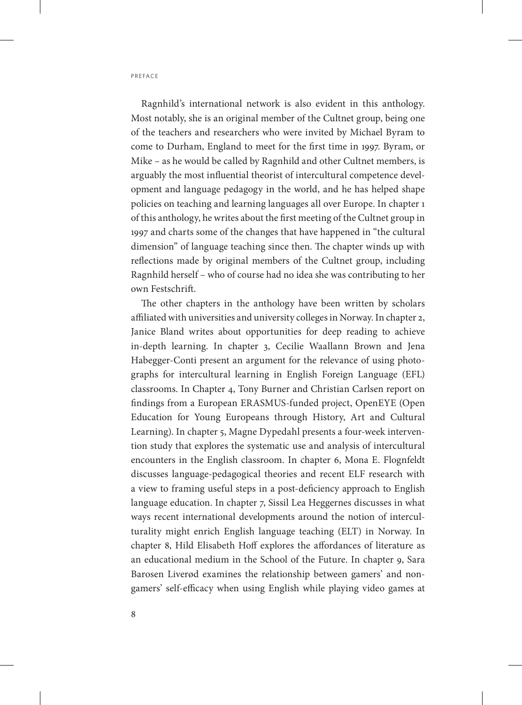Ragnhild's international network is also evident in this anthology. Most notably, she is an original member of the Cultnet group, being one of the teachers and researchers who were invited by Michael Byram to come to Durham, England to meet for the first time in 1997. Byram, or Mike – as he would be called by Ragnhild and other Cultnet members, is arguably the most influential theorist of intercultural competence development and language pedagogy in the world, and he has helped shape policies on teaching and learning languages all over Europe. In chapter 1 of this anthology, he writes about the first meeting of the Cultnet group in 1997 and charts some of the changes that have happened in "the cultural dimension" of language teaching since then. The chapter winds up with reflections made by original members of the Cultnet group, including Ragnhild herself – who of course had no idea she was contributing to her own Festschrift.

The other chapters in the anthology have been written by scholars affiliated with universities and university colleges in Norway. In chapter 2, Janice Bland writes about opportunities for deep reading to achieve in-depth learning. In chapter 3, Cecilie Waallann Brown and Jena Habegger-Conti present an argument for the relevance of using photographs for intercultural learning in English Foreign Language (EFL) classrooms. In Chapter 4, Tony Burner and Christian Carlsen report on findings from a European ERASMUS-funded project, OpenEYE (Open Education for Young Europeans through History, Art and Cultural Learning). In chapter 5, Magne Dypedahl presents a four-week intervention study that explores the systematic use and analysis of intercultural encounters in the English classroom. In chapter 6, Mona E. Flognfeldt discusses language-pedagogical theories and recent ELF research with a view to framing useful steps in a post-deficiency approach to English language education. In chapter 7, Sissil Lea Heggernes discusses in what ways recent international developments around the notion of interculturality might enrich English language teaching (ELT) in Norway. In chapter 8, Hild Elisabeth Hoff explores the affordances of literature as an educational medium in the School of the Future. In chapter 9, Sara Barosen Liverød examines the relationship between gamers' and nongamers' self-efficacy when using English while playing video games at